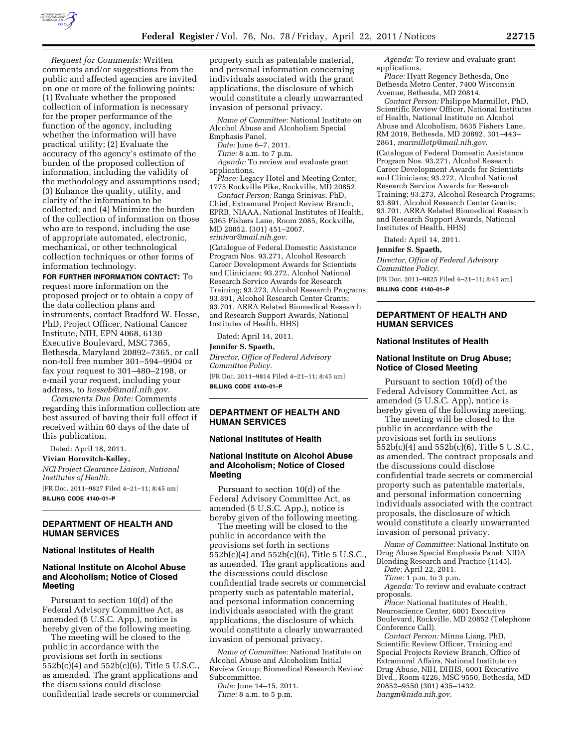

*Request for Comments:* Written comments and/or suggestions from the public and affected agencies are invited on one or more of the following points: (1) Evaluate whether the proposed collection of information is necessary for the proper performance of the function of the agency, including whether the information will have practical utility; (2) Evaluate the accuracy of the agency's estimate of the burden of the proposed collection of information, including the validity of the methodology and assumptions used; (3) Enhance the quality, utility, and clarity of the information to be collected; and (4) Minimize the burden of the collection of information on those who are to respond, including the use of appropriate automated, electronic, mechanical, or other technological collection techniques or other forms of information technology.

**FOR FURTHER INFORMATION CONTACT:** To request more information on the proposed project or to obtain a copy of the data collection plans and instruments, contact Bradford W. Hesse, PhD, Project Officer, National Cancer Institute, NIH, EPN 4068, 6130 Executive Boulevard, MSC 7365, Bethesda, Maryland 20892–7365, or call non-toll free number 301–594–9904 or fax your request to 301–480–2198, or e-mail your request, including your address, to *[hesseb@mail.nih.gov.](mailto:hesseb@mail.nih.gov)* 

*Comments Due Date:* Comments regarding this information collection are best assured of having their full effect if received within 60 days of the date of this publication.

Dated: April 18, 2011.

**Vivian Horovitch-Kelley,** 

*NCI Project Clearance Liaison, National Institutes of Health.*  [FR Doc. 2011–9827 Filed 4–21–11; 8:45 am]

**BILLING CODE 4140–01–P** 

# **DEPARTMENT OF HEALTH AND HUMAN SERVICES**

# **National Institutes of Health**

# **National Institute on Alcohol Abuse and Alcoholism; Notice of Closed Meeting**

Pursuant to section 10(d) of the Federal Advisory Committee Act, as amended (5 U.S.C. App.), notice is hereby given of the following meeting.

The meeting will be closed to the public in accordance with the provisions set forth in sections 552b(c)(4) and 552b(c)(6), Title 5 U.S.C., as amended. The grant applications and the discussions could disclose confidential trade secrets or commercial

property such as patentable material, and personal information concerning individuals associated with the grant applications, the disclosure of which would constitute a clearly unwarranted invasion of personal privacy.

*Name of Committee:* National Institute on Alcohol Abuse and Alcoholism Special Emphasis Panel.

*Date:* June 6–7, 2011.

*Time:* 8 a.m. to 7 p.m.

*Agenda:* To review and evaluate grant applications.

*Place:* Legacy Hotel and Meeting Center, 1775 Rockville Pike, Rockville, MD 20852.

*Contact Person:* Ranga Srinivas, PhD, Chief, Extramural Project Review Branch, EPRB, NIAAA, National Institutes of Health, 5365 Fishers Lane, Room 2085, Rockville, MD 20852. (301) 451–2067. *[srinivar@mail.nih.gov.](mailto:srinivar@mail.nih.gov)* 

(Catalogue of Federal Domestic Assistance Program Nos. 93.271, Alcohol Research Career Development Awards for Scientists and Clinicians; 93.272, Alcohol National Research Service Awards for Research Training; 93.273, Alcohol Research Programs; 93.891, Alcohol Research Center Grants; 93.701, ARRA Related Biomedical Research and Research Support Awards, National Institutes of Health, HHS)

Dated: April 14, 2011.

# **Jennifer S. Spaeth,**

*Director, Office of Federal Advisory Committee Policy.* 

[FR Doc. 2011–9814 Filed 4–21–11; 8:45 am] **BILLING CODE 4140–01–P** 

**DEPARTMENT OF HEALTH AND HUMAN SERVICES** 

## **National Institutes of Health**

# **National Institute on Alcohol Abuse and Alcoholism; Notice of Closed Meeting**

Pursuant to section 10(d) of the Federal Advisory Committee Act, as amended (5 U.S.C. App.), notice is hereby given of the following meeting.

The meeting will be closed to the public in accordance with the provisions set forth in sections 552b(c)(4) and 552b(c)(6), Title 5 U.S.C., as amended. The grant applications and the discussions could disclose confidential trade secrets or commercial property such as patentable material, and personal information concerning individuals associated with the grant applications, the disclosure of which would constitute a clearly unwarranted invasion of personal privacy.

*Name of Committee:* National Institute on Alcohol Abuse and Alcoholism Initial Review Group; Biomedical Research Review Subcommittee.

*Date:* June 14–15, 2011. *Time:* 8 a.m. to 5 p.m.

*Agenda:* To review and evaluate grant applications.

*Place:* Hyatt Regency Bethesda, One Bethesda Metro Center, 7400 Wisconsin Avenue, Bethesda, MD 20814.

*Contact Person:* Philippe Marmillot, PhD, Scientific Review Officer, National Institutes of Health, National Institute on Alcohol Abuse and Alcoholism, 5635 Fishers Lane, RM 2019, Bethesda, MD 20892, 301–443– 2861, *[marmillotp@mail.nih.gov.](mailto:marmillotp@mail.nih.gov)* 

(Catalogue of Federal Domestic Assistance Program Nos. 93.271, Alcohol Research Career Development Awards for Scientists and Clinicians; 93.272, Alcohol National Research Service Awards for Research Training; 93.273, Alcohol Research Programs; 93.891, Alcohol Research Center Grants; 93.701, ARRA Related Biomedical Research and Research Support Awards, National Institutes of Health, HHS)

Dated: April 14, 2011.

#### **Jennifer S. Spaeth,**

*Director, Office of Federal Advisory Committee Policy.* 

[FR Doc. 2011–9825 Filed 4–21–11; 8:45 am] **BILLING CODE 4140–01–P** 

# **DEPARTMENT OF HEALTH AND HUMAN SERVICES**

#### **National Institutes of Health**

## **National Institute on Drug Abuse; Notice of Closed Meeting**

Pursuant to section 10(d) of the Federal Advisory Committee Act, as amended (5 U.S.C. App), notice is hereby given of the following meeting.

The meeting will be closed to the public in accordance with the provisions set forth in sections 552b(c)(4) and 552b(c)(6), Title 5 U.S.C., as amended. The contract proposals and the discussions could disclose confidential trade secrets or commercial property such as patentable materials, and personal information concerning individuals associated with the contract proposals, the disclosure of which would constitute a clearly unwarranted invasion of personal privacy.

*Name of Committee:* National Institute on Drug Abuse Special Emphasis Panel; NIDA Blending Research and Practice (1145).

*Date:* April 22, 2011.

*Time:* 1 p.m. to 3 p.m. *Agenda:* To review and evaluate contract proposals.

*Place:* National Institutes of Health, Neuroscience Center, 6001 Executive Boulevard, Rockville, MD 20852 (Telephone Conference Call).

*Contact Person:* Minna Liang, PhD, Scientific Review Officer, Training and Special Projects Review Branch, Office of Extramural Affairs, National Institute on Drug Abuse, NIH, DHHS, 6001 Executive Blvd., Room 4226, MSC 9550, Bethesda, MD 20852–9550 (301) 435–1432, *[liangm@nida.nih.gov.](mailto:liangm@nida.nih.gov)*